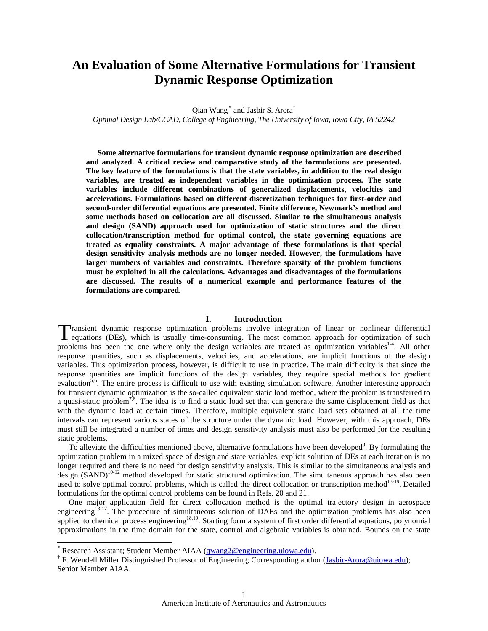# **An Evaluation of Some Alternative Formulations for Transient Dynamic Response Optimization**

Qian Wang \* and Jasbir S. Arora†

*Optimal Design Lab/CCAD, College of Engineering, The University of Iowa, Iowa City, IA 52242* 

**Some alternative formulations for transient dynamic response optimization are described and analyzed. A critical review and comparative study of the formulations are presented. The key feature of the formulations is that the state variables, in addition to the real design variables, are treated as independent variables in the optimization process. The state variables include different combinations of generalized displacements, velocities and accelerations. Formulations based on different discretization techniques for first-order and second-order differential equations are presented. Finite difference, Newmark's method and some methods based on collocation are all discussed. Similar to the simultaneous analysis and design (SAND) approach used for optimization of static structures and the direct collocation/transcription method for optimal control, the state governing equations are treated as equality constraints. A major advantage of these formulations is that special design sensitivity analysis methods are no longer needed. However, the formulations have larger numbers of variables and constraints. Therefore sparsity of the problem functions must be exploited in all the calculations. Advantages and disadvantages of the formulations are discussed. The results of a numerical example and performance features of the formulations are compared.** 

# **I. Introduction**

**Transient dynamic response optimization problems involve integration of linear or nonlinear differential** Transient dynamic response optimization problems involve integration of linear or nonlinear differential equations (DEs), which is usually time-consuming. The most common approach for optimization of such problems has been the one where only the design variables are treated as optimization variables<sup>1-4</sup>. All other response quantities, such as displacements, velocities, and accelerations, are implicit functions of the design variables. This optimization process, however, is difficult to use in practice. The main difficulty is that since the response quantities are implicit functions of the design variables, they require special methods for gradient evaluation<sup>5,6</sup>. The entire process is difficult to use with existing simulation software. Another interesting approach for transient dynamic optimization is the so-called equivalent static load method, where the problem is transferred to a quasi-static problem<sup>7,8</sup>. The idea is to find a static load set that can generate the same displacement field as that with the dynamic load at certain times. Therefore, multiple equivalent static load sets obtained at all the time intervals can represent various states of the structure under the dynamic load. However, with this approach, DEs must still be integrated a number of times and design sensitivity analysis must also be performed for the resulting static problems.

To alleviate the difficulties mentioned above, alternative formulations have been developed<sup>9</sup>. By formulating the optimization problem in a mixed space of design and state variables, explicit solution of DEs at each iteration is no longer required and there is no need for design sensitivity analysis. This is similar to the simultaneous analysis and design (SAND)<sup>10-12</sup> method developed for static structural optimization. The simultaneous approach has also been used to solve optimal control problems, which is called the direct collocation or transcription method<sup>13-19</sup>. Detailed formulations for the optimal control problems can be found in Refs. 20 and 21.

 One major application field for direct collocation method is the optimal trajectory design in aerospace engineering<sup>13-17</sup>. The procedure of simultaneous solution of DAEs and the optimization problems has also been applied to chemical process engineering<sup>18,19</sup>. Starting form a system of first order differential equations, polynomial approximations in the time domain for the state, control and algebraic variables is obtained. Bounds on the state

 $\overline{a}$ 

<sup>\*</sup> Research Assistant; Student Member AIAA (qwang2@engineering.uiowa.edu).

<sup>&</sup>lt;sup>†</sup> F. Wendell Miller Distinguished Professor of Engineering; Corresponding author (*Jasbir-Arora@uiowa.edu*); Senior Member AIAA.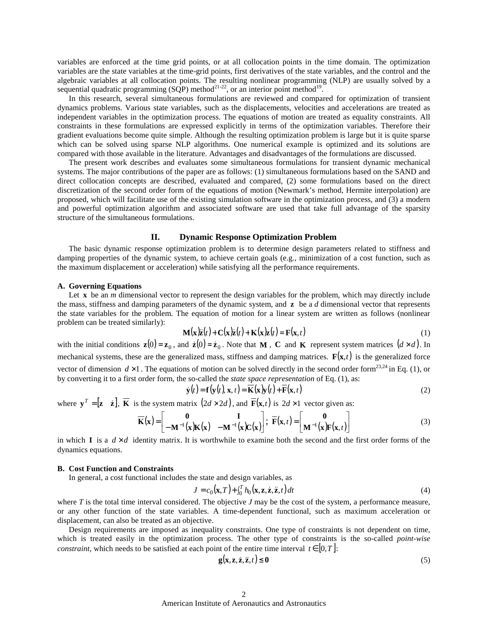variables are enforced at the time grid points, or at all collocation points in the time domain. The optimization variables are the state variables at the time-grid points, first derivatives of the state variables, and the control and the algebraic variables at all collocation points. The resulting nonlinear programming (NLP) are usually solved by a sequential quadratic programming (SQP) method<sup>21-22</sup>, or an interior point method<sup>19</sup>.

 In this research, several simultaneous formulations are reviewed and compared for optimization of transient dynamics problems. Various state variables, such as the displacements, velocities and accelerations are treated as independent variables in the optimization process. The equations of motion are treated as equality constraints. All constraints in these formulations are expressed explicitly in terms of the optimization variables. Therefore their gradient evaluations become quite simple. Although the resulting optimization problem is large but it is quite sparse which can be solved using sparse NLP algorithms. One numerical example is optimized and its solutions are compared with those available in the literature. Advantages and disadvantages of the formulations are discussed.

 The present work describes and evaluates some simultaneous formulations for transient dynamic mechanical systems. The major contributions of the paper are as follows: (1) simultaneous formulations based on the SAND and direct collocation concepts are described, evaluated and compared, (2) some formulations based on the direct discretization of the second order form of the equations of motion (Newmark's method, Hermite interpolation) are proposed, which will facilitate use of the existing simulation software in the optimization process, and (3) a modern and powerful optimization algorithm and associated software are used that take full advantage of the sparsity structure of the simultaneous formulations.

# **II. Dynamic Response Optimization Problem**

 The basic dynamic response optimization problem is to determine design parameters related to stiffness and damping properties of the dynamic system, to achieve certain goals (e.g., minimization of a cost function, such as the maximum displacement or acceleration) while satisfying all the performance requirements.

#### **A. Governing Equations**

Let **x** be an *m* dimensional vector to represent the design variables for the problem, which may directly include the mass, stiffness and damping parameters of the dynamic system, and **z** be a *d* dimensional vector that represents the state variables for the problem. The equation of motion for a linear system are written as follows (nonlinear problem can be treated similarly):

$$
\mathbf{M}(\mathbf{x})\ddot{\mathbf{z}}(t) + \mathbf{C}(\mathbf{x})\dot{\mathbf{z}}(t) + \mathbf{K}(\mathbf{x})\mathbf{z}(t) = \mathbf{F}(\mathbf{x}, t)
$$
(1)

with the initial conditions  $\mathbf{z}(0) = \mathbf{z}_0$ , and  $\dot{\mathbf{z}}(0) = \dot{\mathbf{z}}_0$ . Note that **M**, **C** and **K** represent system matrices  $(d \times d)$ . In mechanical systems, these are the generalized mass, stiffness and damping matrices.  $\mathbf{F}(\mathbf{x},t)$  is the generalized force vector of dimension  $d \times 1$ . The equations of motion can be solved directly in the second order form<sup>23,24</sup> in Eq. (1), or by converting it to a first order form, the so-called the *state space representation* of Eq. (1), as:

$$
\dot{\mathbf{y}}(t) = \mathbf{f}(\mathbf{y}(t), \mathbf{x}, t) = \overline{\mathbf{K}}(\mathbf{x})\mathbf{y}(t) + \overline{\mathbf{F}}(\mathbf{x}, t)
$$
(2)

where  $\mathbf{y}^T = [\mathbf{z} \quad \dot{\mathbf{z}}]$ ,  $\overline{\mathbf{K}}$  is the system matrix  $(2d \times 2d)$ , and  $\overline{\mathbf{F}}(\mathbf{x},t)$  is  $2d \times 1$  vector given as:

$$
\overline{\mathbf{K}}(\mathbf{x}) = \begin{bmatrix} \mathbf{0} & \mathbf{I} \\ -\mathbf{M}^{-1}(\mathbf{x})\mathbf{K}(\mathbf{x}) & -\mathbf{M}^{-1}(\mathbf{x})\mathbf{C}(\mathbf{x}) \end{bmatrix}; \ \overline{\mathbf{F}}(\mathbf{x},t) = \begin{bmatrix} \mathbf{0} \\ \mathbf{M}^{-1}(\mathbf{x})\mathbf{F}(\mathbf{x},t) \end{bmatrix}
$$
(3)

in which **I** is a  $d \times d$  identity matrix. It is worthwhile to examine both the second and the first order forms of the dynamics equations.

### **B. Cost Function and Constraints**

In general, a cost functional includes the state and design variables, as

$$
J = c_0(\mathbf{x}, T) + \int_0^T h_0(\mathbf{x}, \mathbf{z}, \dot{\mathbf{z}}, \ddot{\mathbf{z}}, t) dt
$$
 (4)

where *T* is the total time interval considered. The objective *J* may be the cost of the system, a performance measure, or any other function of the state variables. A time-dependent functional, such as maximum acceleration or displacement, can also be treated as an objective.

 Design requirements are imposed as inequality constraints. One type of constraints is not dependent on time, which is treated easily in the optimization process. The other type of constraints is the so-called *point-wise constraint*, which needs to be satisfied at each point of the entire time interval  $t \in [0, T]$ :

$$
g(x, z, \dot{z}, \ddot{z}, t) \le 0 \tag{5}
$$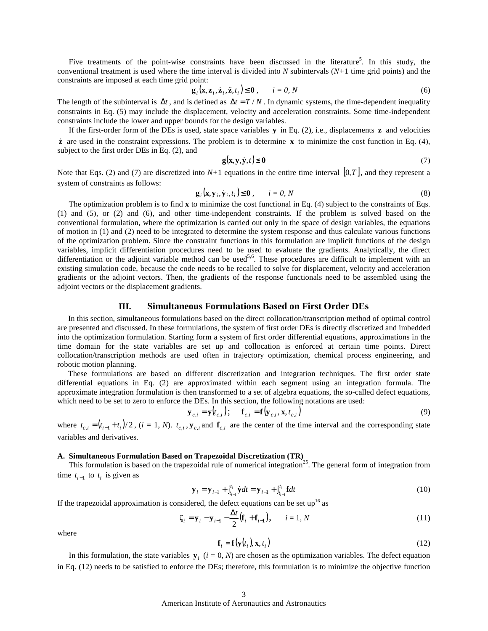Five treatments of the point-wise constraints have been discussed in the literature<sup>5</sup>. In this study, the conventional treatment is used where the time interval is divided into *N* subintervals (*N+*1 time grid points) and the constraints are imposed at each time grid point:

$$
\mathbf{g}_i(\mathbf{x}, \mathbf{z}_i, \dot{\mathbf{z}}_i, \ddot{\mathbf{z}}, t_i) \leq \mathbf{0}, \qquad i = 0, N
$$
 (6)

The length of the subinterval is  $\Delta t$ , and is defined as  $\Delta t = T/N$ . In dynamic systems, the time-dependent inequality constraints in Eq. (5) may include the displacement, velocity and acceleration constraints. Some time-independent constraints include the lower and upper bounds for the design variables.

 If the first-order form of the DEs is used, state space variables **y** in Eq. (2), i.e., displacements **z** and velocities  $\dot{z}$  are used in the constraint expressions. The problem is to determine  $\dot{x}$  to minimize the cost function in Eq. (4), subject to the first order DEs in Eq. (2), and

$$
g(x, y, y, t) \le 0 \tag{7}
$$

Note that Eqs. (2) and (7) are discretized into  $N+1$  equations in the entire time interval  $[0, T]$ , and they represent a system of constraints as follows:

$$
\mathbf{g}_i(\mathbf{x}, \mathbf{y}_i, \dot{\mathbf{y}}_i, t_i) \leq \mathbf{0}, \qquad i = 0, N
$$
 (8)

 The optimization problem is to find **x** to minimize the cost functional in Eq. (4) subject to the constraints of Eqs. (1) and (5), or (2) and (6), and other time-independent constraints. If the problem is solved based on the conventional formulation, where the optimization is carried out only in the space of design variables, the equations of motion in (1) and (2) need to be integrated to determine the system response and thus calculate various functions of the optimization problem. Since the constraint functions in this formulation are implicit functions of the design variables, implicit differentiation procedures need to be used to evaluate the gradients. Analytically, the direct differentiation or the adjoint variable method can be used<sup>5,6</sup>. These procedures are difficult to implement with an existing simulation code, because the code needs to be recalled to solve for displacement, velocity and acceleration gradients or the adjoint vectors. Then, the gradients of the response functionals need to be assembled using the adjoint vectors or the displacement gradients.

# **III. Simultaneous Formulations Based on First Order DEs**

In this section, simultaneous formulations based on the direct collocation/transcription method of optimal control are presented and discussed. In these formulations, the system of first order DEs is directly discretized and imbedded into the optimization formulation. Starting form a system of first order differential equations, approximations in the time domain for the state variables are set up and collocation is enforced at certain time points. Direct collocation/transcription methods are used often in trajectory optimization, chemical process engineering, and robotic motion planning.

These formulations are based on different discretization and integration techniques. The first order state differential equations in Eq. (2) are approximated within each segment using an integration formula. The approximate integration formulation is then transformed to a set of algebra equations, the so-called defect equations, which need to be set to zero to enforce the DEs. In this section, the following notations are used:

$$
\mathbf{y}_{c,i} = \mathbf{y}(t_{c,i}); \quad \mathbf{f}_{c,i} = \mathbf{f}(\mathbf{y}_{c,i}, \mathbf{x}, t_{c,i})
$$
(9)

where  $t_{c,i} = (t_{i-1} + t_i)/2$ ,  $(i = 1, N)$ .  $t_{c,i}$ ,  $\mathbf{y}_{c,i}$  and  $\mathbf{f}_{c,i}$  are the center of the time interval and the corresponding state variables and derivatives.

#### **A. Simultaneous Formulation Based on Trapezoidal Discretization (TR)**

This formulation is based on the trapezoidal rule of numerical integration<sup>25</sup>. The general form of integration from time  $t_{i-1}$  to  $t_i$  is given as

$$
\mathbf{y}_{i} = \mathbf{y}_{i-1} + \int_{t_{i-1}}^{t_i} \dot{\mathbf{y}} dt = \mathbf{y}_{i-1} + \int_{t_{i-1}}^{t_i} \mathbf{f} dt
$$
 (10)

If the trapezoidal approximation is considered, the defect equations can be set up<sup>16</sup> as

$$
\zeta_i = \mathbf{y}_i - \mathbf{y}_{i-1} - \frac{\Delta t}{2} (\mathbf{f}_i + \mathbf{f}_{i-1}), \qquad i = 1, N
$$
\n(11)

where

$$
\mathbf{f}_i = \mathbf{f}(\mathbf{y}(t_i), \mathbf{x}, t_i) \tag{12}
$$

In this formulation, the state variables  $y_i$  ( $i = 0, N$ ) are chosen as the optimization variables. The defect equation in Eq. (12) needs to be satisfied to enforce the DEs; therefore, this formulation is to minimize the objective function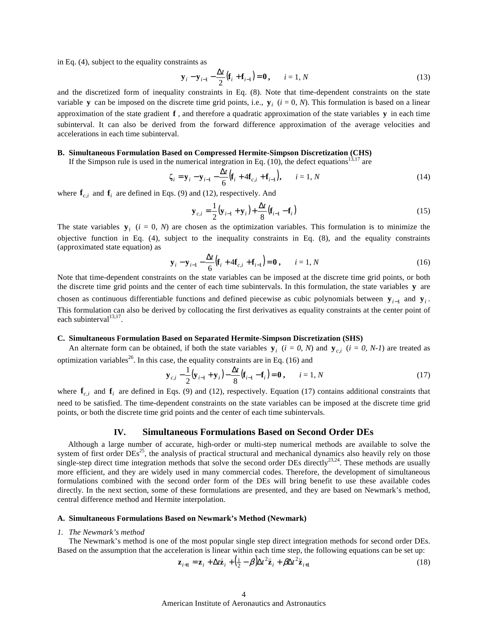in Eq. (4), subject to the equality constraints as

$$
\mathbf{y}_i - \mathbf{y}_{i-1} - \frac{\Delta t}{2} \left( \mathbf{f}_i + \mathbf{f}_{i-1} \right) = \mathbf{0}, \qquad i = 1, N
$$
\n(13)

and the discretized form of inequality constraints in Eq. (8). Note that time-dependent constraints on the state variable **y** can be imposed on the discrete time grid points, i.e.,  $\mathbf{y}_i$  ( $i = 0, N$ ). This formulation is based on a linear approximation of the state gradient **f** , and therefore a quadratic approximation of the state variables **y** in each time subinterval. It can also be derived from the forward difference approximation of the average velocities and accelerations in each time subinterval.

# **B. Simultaneous Formulation Based on Compressed Hermite-Simpson Discretization (CHS)**

If the Simpson rule is used in the numerical integration in Eq.  $(10)$ , the defect equations<sup>13,17</sup> are

$$
\zeta_i = \mathbf{y}_i - \mathbf{y}_{i-1} - \frac{\Delta t}{6} \left( \mathbf{f}_i + 4 \mathbf{f}_{c,i} + \mathbf{f}_{i-1} \right), \qquad i = 1, N
$$
\n(14)

where  $f_{c,i}$  and  $f_i$  are defined in Eqs. (9) and (12), respectively. And

$$
\mathbf{y}_{c,i} = \frac{1}{2} (\mathbf{y}_{i-1} + \mathbf{y}_i) + \frac{\Delta t}{8} (\mathbf{f}_{i-1} - \mathbf{f}_i)
$$
(15)

The state variables  $y_i$  ( $i = 0, N$ ) are chosen as the optimization variables. This formulation is to minimize the objective function in Eq. (4), subject to the inequality constraints in Eq. (8), and the equality constraints (approximated state equation) as

$$
\mathbf{y}_{i} - \mathbf{y}_{i-1} - \frac{\Delta t}{6} \left( \mathbf{f}_{i} + 4 \mathbf{f}_{c,i} + \mathbf{f}_{i-1} \right) = \mathbf{0}, \qquad i = 1, N
$$
\n(16)

Note that time-dependent constraints on the state variables can be imposed at the discrete time grid points, or both the discrete time grid points and the center of each time subintervals. In this formulation, the state variables **y** are

chosen as continuous differentiable functions and defined piecewise as cubic polynomials between  $y_{i-1}$  and  $y_i$ . This formulation can also be derived by collocating the first derivatives as equality constraints at the center point of each subinterval $13,17$ .

#### **C. Simultaneous Formulation Based on Separated Hermite-Simpson Discretization (SHS)**

An alternate form can be obtained, if both the state variables  $y_i$  ( $i = 0$ , N) and  $y_{c,i}$  ( $i = 0$ , N-1) are treated as optimization variables<sup>26</sup>. In this case, the equality constraints are in Eq. (16) and

$$
\mathbf{y}_{c,i} - \frac{1}{2} (\mathbf{y}_{i-1} + \mathbf{y}_i) - \frac{\Delta t}{8} (\mathbf{f}_{i-1} - \mathbf{f}_i) = \mathbf{0}, \qquad i = 1, N
$$
\n(17)

where  $f_{c,i}$  and  $f_i$  are defined in Eqs. (9) and (12), respectively. Equation (17) contains additional constraints that need to be satisfied. The time-dependent constraints on the state variables can be imposed at the discrete time grid points, or both the discrete time grid points and the center of each time subintervals.

## **IV. Simultaneous Formulations Based on Second Order DEs**

Although a large number of accurate, high-order or multi-step numerical methods are available to solve the system of first order  $\text{DEs}^{25}$ , the analysis of practical structural and mechanical dynamics also heavily rely on those single-step direct time integration methods that solve the second order DEs directly<sup>23,24</sup>. These methods are usually more efficient, and they are widely used in many commercial codes. Therefore, the development of simultaneous formulations combined with the second order form of the DEs will bring benefit to use these available codes directly. In the next section, some of these formulations are presented, and they are based on Newmark's method, central difference method and Hermite interpolation.

# **A. Simultaneous Formulations Based on Newmark's Method (Newmark)**

#### *1. The Newmark's method*

 The Newmark's method is one of the most popular single step direct integration methods for second order DEs. Based on the assumption that the acceleration is linear within each time step, the following equations can be set up:

$$
\mathbf{z}_{i+1} = \mathbf{z}_i + \Delta t \dot{\mathbf{z}}_i + \left(\frac{1}{2} - \beta\right) \Delta t^2 \ddot{\mathbf{z}}_i + \beta \Delta t^2 \ddot{\mathbf{z}}_{i+1}
$$
(18)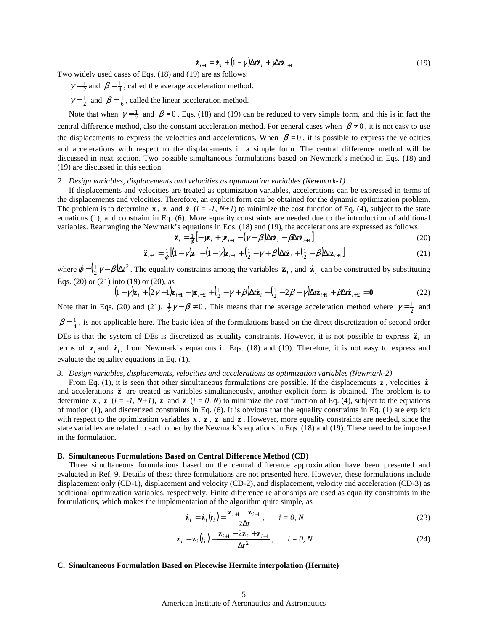$$
\dot{\mathbf{z}}_{i+1} = \dot{\mathbf{z}}_i + (1 - \gamma)\Delta t \ddot{\mathbf{z}}_i + \gamma \Delta t \ddot{\mathbf{z}}_{i+1}
$$
(19)

Two widely used cases of Eqs. (18) and (19) are as follows:

- $\gamma = \frac{1}{2}$  and  $\beta = \frac{1}{4}$ , called the average acceleration method.
- $\gamma = \frac{1}{2}$  and  $\beta = \frac{1}{6}$ , called the linear acceleration method.

Note that when  $\gamma = \frac{1}{2}$  and  $\beta = 0$ , Eqs. (18) and (19) can be reduced to very simple form, and this is in fact the central difference method, also the constant acceleration method. For general cases when  $\beta \neq 0$ , it is not easy to use the displacements to express the velocities and accelerations. When  $\beta = 0$ , it is possible to express the velocities and accelerations with respect to the displacements in a simple form. The central difference method will be discussed in next section. Two possible simultaneous formulations based on Newmark's method in Eqs. (18) and (19) are discussed in this section.

## *2. Design variables, displacements and velocities as optimization variables (Newmark-1)*

 If displacements and velocities are treated as optimization variables, accelerations can be expressed in terms of the displacements and velocities. Therefore, an explicit form can be obtained for the dynamic optimization problem. The problem is to determine  $\bf{x}$ ,  $\bf{z}$  and  $\bf{\dot{z}}$  ( $i = -1, N+1$ ) to minimize the cost function of Eq. (4), subject to the state equations (1), and constraint in Eq. (6). More equality constraints are needed due to the introduction of additional variables. Rearranging the Newmark's equations in Eqs. (18) and (19), the accelerations are expressed as follows:

$$
\ddot{\mathbf{z}}_i = \frac{1}{\varphi} \left[ -\gamma \mathbf{z}_i + \gamma \mathbf{z}_{i+1} - (\gamma - \beta) \Delta t \dot{\mathbf{z}}_i - \beta \Delta t \dot{\mathbf{z}}_{i+1} \right]
$$
(20)

$$
\ddot{\mathbf{z}}_{i+1} = \frac{1}{\varphi} \left[ (1 - \gamma) \mathbf{z}_i - (1 - \gamma) \mathbf{z}_{i+1} + \left( \frac{1}{2} - \gamma + \beta \right) \Delta t \dot{\mathbf{z}}_i + \left( \frac{1}{2} - \beta \right) \Delta t \dot{\mathbf{z}}_{i+1} \right]
$$
(21)

where  $\varphi = (\frac{1}{2}\gamma - \beta)\Delta t^2$  $\varphi = (\frac{1}{2}\gamma - \beta)\Delta t^2$ . The equality constraints among the variables  $\mathbf{z}_i$ , and  $\dot{\mathbf{z}}_i$  can be constructed by substituting Eqs. (20) or (21) into (19) or (20), as

$$
(1-\gamma)\mathbf{z}_i + (2\gamma - 1)\mathbf{z}_{i+1} - \gamma \mathbf{z}_{i+2} + (\frac{1}{2} - \gamma + \beta)\Delta t \mathbf{z}_i + (\frac{1}{2} - 2\beta + \gamma)\Delta t \mathbf{z}_{i+1} + \beta \Delta t \mathbf{z}_{i+2} = \mathbf{0}
$$
(22)

Note that in Eqs. (20) and (21),  $\frac{1}{2}\gamma - \beta \neq 0$ . This means that the average acceleration method where  $\gamma = \frac{1}{2}$  and  $\beta = \frac{1}{4}$ , is not applicable here. The basic idea of the formulations based on the direct discretization of second order DEs is that the system of DEs is discretized as equality constraints. However, it is not possible to express  $\ddot{\mathbf{z}}_i$  in terms of  $z_i$  and  $\dot{z}_i$ , from Newmark's equations in Eqs. (18) and (19). Therefore, it is not easy to express and evaluate the equality equations in Eq. (1).

#### *3. Design variables, displacements, velocities and accelerations as optimization variables (Newmark-2)*

From Eq. (1), it is seen that other simultaneous formulations are possible. If the displacements  $\bf{z}$ , velocities  $\bf{\dot{z}}$ and accelerations  $\ddot{z}$  are treated as variables simultaneously, another explicit form is obtained. The problem is to determine **x**, **z** ( $i = -1, N+1$ ), **z** and  $\ddot{z}$  ( $i = 0, N$ ) to minimize the cost function of Eq. (4), subject to the equations of motion (1), and discretized constraints in Eq.  $(6)$ . It is obvious that the equality constraints in Eq. (1) are explicit with respect to the optimization variables **x**, **z**, **ż** and  $\ddot{z}$ . However, more equality constraints are needed, since the state variables are related to each other by the Newmark's equations in Eqs. (18) and (19). These need to be imposed in the formulation.

#### **B. Simultaneous Formulations Based on Central Difference Method (CD)**

 Three simultaneous formulations based on the central difference approximation have been presented and evaluated in Ref. 9. Details of these three formulations are not presented here. However, these formulations include displacement only (CD-1), displacement and velocity (CD-2), and displacement, velocity and acceleration (CD-3) as additional optimization variables, respectively. Finite difference relationships are used as equality constraints in the formulations, which makes the implementation of the algorithm quite simple, as

$$
\dot{\mathbf{z}}_i = \dot{\mathbf{z}}_i(t_i) = \frac{\mathbf{z}_{i+1} - \mathbf{z}_{i-1}}{2\Delta t}, \qquad i = 0, N
$$
\n(23)

$$
\ddot{\mathbf{z}}_i = \ddot{\mathbf{z}}_i(t_i) = \frac{\mathbf{z}_{i+1} - 2\mathbf{z}_i + \mathbf{z}_{i-1}}{\Delta t^2}, \qquad i = 0, N
$$
\n(24)

#### **C. Simultaneous Formulation Based on Piecewise Hermite interpolation (Hermite)**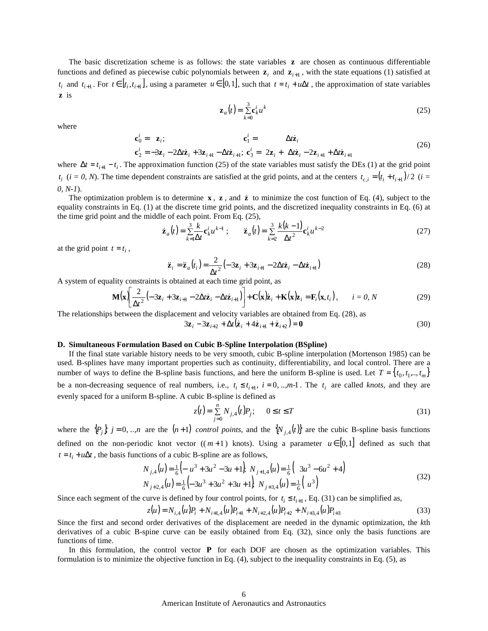The basic discretization scheme is as follows: the state variables **z** are chosen as continuous differentiable functions and defined as piecewise cubic polynomials between  $z_i$  and  $z_{i+1}$ , with the state equations (1) satisfied at  $t_i$  and  $t_{i+1}$ . For  $t \in [t_i, t_{i+1}]$ , using a parameter  $u \in [0,1]$ , such that  $t = t_i + u\Delta t$ , the approximation of state variables **z** is

$$
\mathbf{z}_a(t) = \sum_{k=0}^{3} \mathbf{c}_k^i u^k
$$
 (25)

where

$$
\mathbf{c}_{0}^{i} = \mathbf{z}_{i}; \qquad \mathbf{c}_{1}^{i} = \Delta t \mathbf{z}_{i}
$$
\n
$$
\mathbf{c}_{2}^{i} = -3\mathbf{z}_{i} - 2\Delta t \mathbf{z}_{i} + 3\mathbf{z}_{i+1} - \Delta t \mathbf{z}_{i+1}; \ \mathbf{c}_{3}^{i} = 2\mathbf{z}_{i} + \Delta t \mathbf{z}_{i} - 2\mathbf{z}_{i+1} + \Delta t \mathbf{z}_{i+1}
$$
\n(26)

where  $\Delta t = t_{i+1} - t_i$ . The approximation function (25) of the state variables must satisfy the DEs (1) at the grid point  $t_i$  (*i* = 0, *N*). The time dependent constraints are satisfied at the grid points, and at the centers  $t_{c,i} = (t_i + t_{i+1})/2$  (*i* = *0, N-1*).

The optimization problem is to determine  $\bf{x}$ ,  $\bf{z}$ , and  $\bf{\dot{z}}$  to minimize the cost function of Eq. (4), subject to the equality constraints in Eq. (1) at the discrete time grid points, and the discretized inequality constraints in Eq. (6) at the time grid point and the middle of each point. From Eq. (25),

$$
\dot{\mathbf{z}}_a(t) = \sum_{k=1}^3 \frac{k}{\Delta t} \mathbf{c}_k^i u^{k-1} \; ; \qquad \ddot{\mathbf{z}}_a(t) = \sum_{k=2}^3 \frac{k(k-1)}{\Delta t^2} \mathbf{c}_k^i u^{k-2} \tag{27}
$$

at the grid point  $t = t_i$ ,

$$
\ddot{\mathbf{z}}_i = \ddot{\mathbf{z}}_a(t_i) = \frac{2}{\Delta t^2} \left( -3\mathbf{z}_i + 3\mathbf{z}_{i+1} - 2\Delta t \dot{\mathbf{z}}_i - \Delta t \dot{\mathbf{z}}_{i+1} \right)
$$
(28)

A system of equality constraints is obtained at each time grid point, as

$$
\mathbf{M}(\mathbf{x})\left[\frac{2}{\Delta t^2}(-3\mathbf{z}_i+3\mathbf{z}_{i+1}-2\Delta t\dot{\mathbf{z}}_i-\Delta t\dot{\mathbf{z}}_{i+1})\right]+\mathbf{C}(\mathbf{x})\dot{\mathbf{z}}_i+\mathbf{K}(\mathbf{x})\mathbf{z}_i=\mathbf{F}_i(\mathbf{x},t_i), \qquad i=0, N
$$
\n(29)

The relationships between the displacement and velocity variables are obtained from Eq. (28), as

$$
3\mathbf{z}_{i} - 3\mathbf{z}_{i+2} + \Delta t (\dot{\mathbf{z}}_{i} + 4\dot{\mathbf{z}}_{i+1} + \dot{\mathbf{z}}_{i+2}) = \mathbf{0}
$$
(30)

#### **D. Simultaneous Formulation Based on Cubic B-Spline Interpolation (BSpline)**

 If the final state variable history needs to be very smooth, cubic B-spline interpolation (Mortenson 1985) can be used. B-splines have many important properties such as continuity, differentiability, and local control. There are a number of ways to define the B-spline basis functions, and here the uniform B-spline is used. Let  $T = \{t_0, t_1, \ldots, t_m\}$ be a non-decreasing sequence of real numbers, i.e.,  $t_i \leq t_{i+1}$ ,  $i = 0, ..., m-1$ . The  $t_i$  are called *knots*, and they are evenly spaced for a uniform B-spline. A cubic B-spline is defined as

$$
z(t) = \sum_{j=0}^{n} N_{j,4}(t) P_j; \qquad 0 \le t \le T
$$
\n(31)

where the  ${P_j}$ ,  $j = 0, ..., n$  are the  $(n+1)$  *control points*, and the  ${N_{j,4}(t)}$  are the cubic B-spline basis functions defined on the non-periodic knot vector (( $m+1$ ) knots). Using a parameter  $u \in [0,1]$  defined as such that  $t = t_i + u\Delta t$ , the basis functions of a cubic B-spline are as follows,

$$
N_{j,4}(u) = \frac{1}{6} \left( -u^3 + 3u^2 - 3u + 1 \right) N_{j+1,4}(u) = \frac{1}{6} \left( 3u^3 - 6u^2 + 4 \right)
$$
  
\n
$$
N_{j+2,4}(u) = \frac{1}{6} \left( -3u^3 + 3u^2 + 3u + 1 \right) N_{j+3,4}(u) = \frac{1}{6} \left( u^3 \right)
$$
\n(32)

Since each segment of the curve is defined by four control points, for  $t_i \le t_{i+1}$ , Eq. (31) can be simplified as,

$$
z(u) = N_{i,4}(u)P_i + N_{i+1,4}(u)P_{i+1} + N_{i+2,4}(u)P_{i+2} + N_{i+3,4}(u)P_{i+3}
$$
\n(33)

Since the first and second order derivatives of the displacement are needed in the dynamic optimization, the *k*th derivatives of a cubic B-spine curve can be easily obtained from Eq. (32), since only the basis functions are functions of time.

 In this formulation, the control vector **P** for each DOF are chosen as the optimization variables. This formulation is to minimize the objective function in Eq. (4), subject to the inequality constraints in Eq. (5), as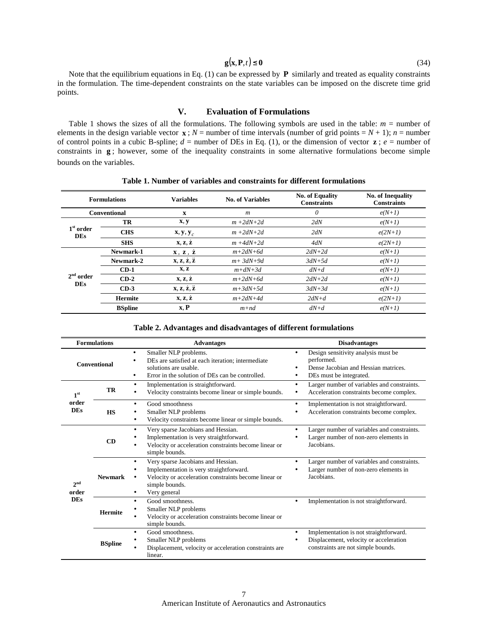$$
g(x, P, t) \le 0 \tag{34}
$$

 Note that the equilibrium equations in Eq. (1) can be expressed by **P** similarly and treated as equality constraints in the formulation. The time-dependent constraints on the state variables can be imposed on the discrete time grid points.

# **V. Evaluation of Formulations**

Table 1 shows the sizes of all the formulations. The following symbols are used in the table:  $m =$  number of elements in the design variable vector  $\mathbf{x}$ ; *N* = number of time intervals (number of grid points = *N* + 1); *n* = number of control points in a cubic B-spline;  $d =$  number of DEs in Eq. (1), or the dimension of vector  $\mathbf{z}$ ;  $e =$  number of constraints in **g**; however, some of the inequality constraints in some alternative formulations become simple bounds on the variables.

| <b>Formulations</b>                 |                 | <b>Variables</b>                                               | <b>No. of Variables</b> | <b>No. of Equality</b><br><b>Constraints</b> | <b>No. of Inequality</b><br><b>Constraints</b> |  |  |
|-------------------------------------|-----------------|----------------------------------------------------------------|-------------------------|----------------------------------------------|------------------------------------------------|--|--|
| <b>Conventional</b>                 |                 | $\mathbf x$                                                    | $\boldsymbol{m}$        | 0                                            | $e(N+1)$                                       |  |  |
|                                     | TR              | x, y                                                           | $m + 2dN + 2d$          | 2dN                                          | $e(N+1)$                                       |  |  |
| 1 <sup>st</sup> order<br><b>DEs</b> | <b>CHS</b>      | $\mathbf{x}, \mathbf{y}, \mathbf{y}_c$                         | $m + 2dN + 2d$          | 2dN                                          | $e(2N+1)$                                      |  |  |
|                                     | <b>SHS</b>      | X, Z, Z                                                        | $m + 4dN + 2d$          | 4dN                                          | $e(2N+1)$                                      |  |  |
|                                     | Newmark-1       | $\mathbf{x}, \mathbf{z}, \dot{\mathbf{z}}$                     | $m+2dN+6d$              | $2dN+2d$                                     | $e(N+1)$                                       |  |  |
|                                     | Newmark-2       | $\mathbf{X}, \mathbf{Z}, \dot{\mathbf{Z}}, \dddot{\mathbf{Z}}$ | $m + 3dN + 9d$          | $3dN+5d$                                     | $e(N+1)$                                       |  |  |
|                                     | $CD-1$          | X, Z                                                           | $m+dN+3d$               | $dN+d$                                       | $e(N+1)$                                       |  |  |
| $2nd$ order                         | $CD-2$          | X, Z, Z                                                        | $m+2dN+6d$              | $2dN+2d$                                     | $e(N+1)$                                       |  |  |
| <b>DEs</b>                          | $CD-3$          | $\mathbf{X}, \mathbf{Z}, \dot{\mathbf{Z}}, \ddot{\mathbf{Z}}$  | $m+3dN+5d$              | $3dN+3d$                                     | $e(N+1)$                                       |  |  |
|                                     | <b>Hermite</b>  | X, Z, Z                                                        | $m+2dN+4d$              | $2dN+d$                                      | $e(2N+1)$                                      |  |  |
|                                     | <b>B</b> Spline | X, P                                                           | $m+nd$                  | $dN+d$                                       | $e(N+1)$                                       |  |  |

**Table 1. Number of variables and constraints for different formulations** 

| Table 2. Advantages and disadvantages of different formulations |  |
|-----------------------------------------------------------------|--|
|                                                                 |  |

| <b>Formulations</b><br><b>Advantages</b> |                 | <b>Disadvantages</b>                                                                                                                                                                  |                                                                                                                                        |  |  |  |
|------------------------------------------|-----------------|---------------------------------------------------------------------------------------------------------------------------------------------------------------------------------------|----------------------------------------------------------------------------------------------------------------------------------------|--|--|--|
| <b>Conventional</b>                      |                 | Smaller NLP problems.<br>٠<br>DEs are satisfied at each iteration; intermediate<br>٠<br>solutions are usable.<br>Error in the solution of DEs can be controlled.<br>٠                 | Design sensitivity analysis must be<br>$\bullet$<br>performed.<br>Dense Jacobian and Hessian matrices.<br>DEs must be integrated.<br>٠ |  |  |  |
| 1 <sup>st</sup><br>order<br><b>DEs</b>   | TR              | Implementation is straightforward.<br>$\bullet$<br>Velocity constraints become linear or simple bounds.                                                                               | Larger number of variables and constraints.<br>$\bullet$<br>Acceleration constraints become complex.                                   |  |  |  |
|                                          | <b>HS</b>       | Good smoothness<br>$\bullet$<br>Smaller NLP problems<br>Velocity constraints become linear or simple bounds.<br>$\bullet$                                                             | Implementation is not straightforward.<br>٠<br>Acceleration constraints become complex.                                                |  |  |  |
| $2^{\text{nd}}$<br>order<br><b>DEs</b>   | CD              | Very sparse Jacobians and Hessian.<br>$\bullet$<br>Implementation is very straightforward.<br>Velocity or acceleration constraints become linear or<br>simple bounds.                 | Larger number of variables and constraints.<br>٠<br>Larger number of non-zero elements in<br>Jacobians.                                |  |  |  |
|                                          | <b>Newmark</b>  | Very sparse Jacobians and Hessian.<br>$\bullet$<br>Implementation is very straightforward.<br>Velocity or acceleration constraints become linear or<br>simple bounds.<br>Very general | Larger number of variables and constraints.<br>٠<br>Larger number of non-zero elements in<br>Jacobians.                                |  |  |  |
|                                          | <b>Hermite</b>  | Good smoothness.<br>$\bullet$<br>Smaller NLP problems<br>Velocity or acceleration constraints become linear or<br>simple bounds.                                                      | Implementation is not straightforward.<br>$\bullet$                                                                                    |  |  |  |
|                                          | <b>B</b> Spline | Good smoothness.<br>$\bullet$<br>Smaller NLP problems<br>Displacement, velocity or acceleration constraints are<br>linear.                                                            | Implementation is not straightforward.<br>٠<br>Displacement, velocity or acceleration<br>constraints are not simple bounds.            |  |  |  |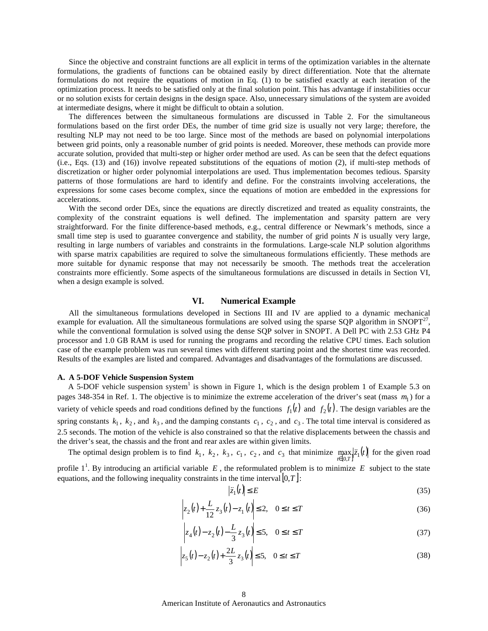Since the objective and constraint functions are all explicit in terms of the optimization variables in the alternate formulations, the gradients of functions can be obtained easily by direct differentiation. Note that the alternate formulations do not require the equations of motion in Eq. (1) to be satisfied exactly at each iteration of the optimization process. It needs to be satisfied only at the final solution point. This has advantage if instabilities occur or no solution exists for certain designs in the design space. Also, unnecessary simulations of the system are avoided at intermediate designs, where it might be difficult to obtain a solution.

 The differences between the simultaneous formulations are discussed in Table 2. For the simultaneous formulations based on the first order DEs, the number of time grid size is usually not very large; therefore, the resulting NLP may not need to be too large. Since most of the methods are based on polynomial interpolations between grid points, only a reasonable number of grid points is needed. Moreover, these methods can provide more accurate solution, provided that multi-step or higher order method are used. As can be seen that the defect equations (i.e., Eqs. (13) and (16)) involve repeated substitutions of the equations of motion (2), if multi-step methods of discretization or higher order polynomial interpolations are used. Thus implementation becomes tedious. Sparsity patterns of those formulations are hard to identify and define. For the constraints involving accelerations, the expressions for some cases become complex, since the equations of motion are embedded in the expressions for accelerations.

 With the second order DEs, since the equations are directly discretized and treated as equality constraints, the complexity of the constraint equations is well defined. The implementation and sparsity pattern are very straightforward. For the finite difference-based methods, e.g., central difference or Newmark's methods, since a small time step is used to guarantee convergence and stability, the number of grid points *N* is usually very large, resulting in large numbers of variables and constraints in the formulations. Large-scale NLP solution algorithms with sparse matrix capabilities are required to solve the simultaneous formulations efficiently. These methods are more suitable for dynamic response that may not necessarily be smooth. The methods treat the acceleration constraints more efficiently. Some aspects of the simultaneous formulations are discussed in details in Section VI, when a design example is solved.

# **VI. Numerical Example**

 All the simultaneous formulations developed in Sections III and IV are applied to a dynamic mechanical example for evaluation. All the simultaneous formulations are solved using the sparse SQP algorithm in SNOPT $^{27}$ , while the conventional formulation is solved using the dense SQP solver in SNOPT. A Dell PC with 2.53 GHz P4 processor and 1.0 GB RAM is used for running the programs and recording the relative CPU times. Each solution case of the example problem was run several times with different starting point and the shortest time was recorded. Results of the examples are listed and compared. Advantages and disadvantages of the formulations are discussed.

#### **A. A 5-DOF Vehicle Suspension System**

A 5-DOF vehicle suspension system<sup>1</sup> is shown in Figure 1, which is the design problem 1 of Example 5.3 on pages 348-354 in Ref. 1. The objective is to minimize the extreme acceleration of the driver's seat (mass  $m_1$ ) for a variety of vehicle speeds and road conditions defined by the functions  $f_1(t)$  and  $f_2(t)$ . The design variables are the spring constants  $k_1$ ,  $k_2$ , and  $k_3$ , and the damping constants  $c_1$ ,  $c_2$ , and  $c_3$ . The total time interval is considered as 2.5 seconds. The motion of the vehicle is also constrained so that the relative displacements between the chassis and the driver's seat, the chassis and the front and rear axles are within given limits.

The optimal design problem is to find  $k_1$ ,  $k_2$ ,  $k_3$ ,  $c_1$ ,  $c_2$ , and  $c_3$  that minimize  $\max_{t \in [0,T]} |z_1(t)|$  for the given road profile  $1^1$ . By introducing an artificial variable  $E$ , the reformulated problem is to minimize  $E$  subject to the state equations, and the following inequality constraints in the time interval  $[0, T]$ :

$$
|\ddot{z}_1(t)| \le E \tag{35}
$$

$$
\left| z_2(t) + \frac{L}{12} z_3(t) - z_1(t) \right| \le 2, \quad 0 \le t \le T
$$
\n(36)

$$
\left| z_4(t) - z_2(t) - \frac{L}{3} z_3(t) \right| \le 5, \quad 0 \le t \le T
$$
\n(37)

$$
\left| z_5(t) - z_2(t) + \frac{2L}{3} z_3(t) \right| \le 5, \quad 0 \le t \le T
$$
\n(38)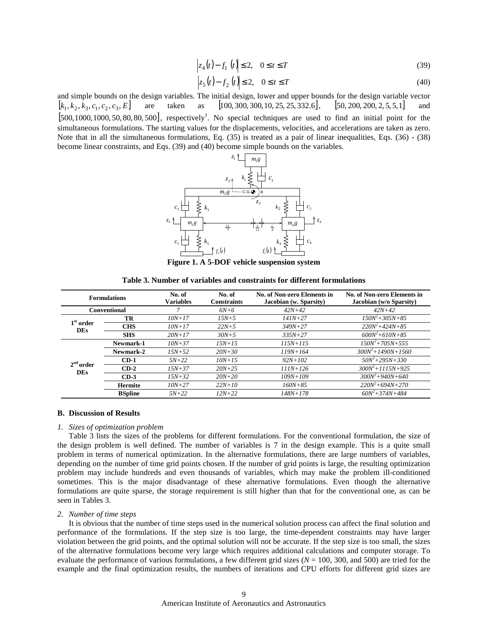$$
|z_4(t) - f_1(t)| \le 2, \quad 0 \le t \le T
$$
\n(39)

$$
\left| z_5(t) - f_2(t) \right| \le 2, \quad 0 \le t \le T \tag{40}
$$

and simple bounds on the design variables. The initial design, lower and upper bounds for the design variable vector  $[k_1, k_2, k_3, c_1, c_2, c_3, E]$ are taken as  $[100, 300, 300, 10, 25, 25, 332.6]$ ,  $[50, 200, 200, 2, 5, 5, 1]$  and  $[500, 1000, 1000, 50, 80, 80, 500]$ , respectively<sup>1</sup>. No special techniques are used to find an initial point for the simultaneous formulations. The starting values for the displacements, velocities, and accelerations are taken as zero. Note that in all the simultaneous formulations, Eq. (35) is treated as a pair of linear inequalities, Eqs. (36) - (38) become linear constraints, and Eqs. (39) and (40) become simple bounds on the variables.



**Figure 1. A 5-DOF vehicle suspension system**

| Table 3. Number of variables and constraints for different formulations |
|-------------------------------------------------------------------------|
|-------------------------------------------------------------------------|

| <b>Formulations</b>       |                | No. of<br><b>Variables</b> | No. of<br><b>Constraints</b> | No. of Non-zero Elements in<br>Jacobian (w. Sparsity) | No. of Non-zero Elements in<br>Jacobian (w/o Sparsity) |  |  |
|---------------------------|----------------|----------------------------|------------------------------|-------------------------------------------------------|--------------------------------------------------------|--|--|
| Conventional              |                |                            | $6N+6$                       | $42N+42$                                              | $42N+42$                                               |  |  |
| $1st$ order<br><b>DEs</b> | TR             | $10N + 17$                 | $15N + 5$                    | $141N+27$                                             | $150N^2 + 305N + 85$                                   |  |  |
|                           | <b>CHS</b>     | $10N + 17$                 | $22N+5$                      | $349N + 27$                                           | $220N^2 + 424N + 85$                                   |  |  |
|                           | <b>SHS</b>     | $20N + 17$                 | $30N + 5$                    | $335N + 27$                                           | $600N^2 + 610N + 85$                                   |  |  |
|                           | Newmark-1      | $10N + 37$                 | $15N + 15$                   | 115N+115                                              | $150N^2 + 705N + 555$                                  |  |  |
|                           | Newmark-2      | $15N + 52$                 | $20N + 30$                   | $119N+164$                                            | $300N^2 + 1490N + 1560$                                |  |  |
| 2 <sup>nd</sup> order     | $CD-1$         | $5N + 22$                  | $10N + 15$                   | $92N+102$                                             | $50N^2 + 295N + 330$                                   |  |  |
| <b>DEs</b>                | $CD-2$         | $15N + 37$                 | $20N + 25$                   | $111N+126$                                            | $300N^2 + 1115N + 925$                                 |  |  |
|                           | $CD-3$         | $15N + 32$                 | $20N + 20$                   | $109N + 109$                                          | $300N^2 + 940N + 640$                                  |  |  |
|                           | <b>Hermite</b> | $10N + 27$                 | $22N+10$                     | $160N + 85$                                           | $220N^2 + 694N + 270$                                  |  |  |
|                           | <b>BSpline</b> | $5N+22$                    | $12N + 22$                   | $148N + 178$                                          | $60N^2 + 374N + 484$                                   |  |  |

## **B. Discussion of Results**

# *1. Sizes of optimization problem*

 Table 3 lists the sizes of the problems for different formulations. For the conventional formulation, the size of the design problem is well defined. The number of variables is 7 in the design example. This is a quite small problem in terms of numerical optimization. In the alternative formulations, there are large numbers of variables, depending on the number of time grid points chosen. If the number of grid points is large, the resulting optimization problem may include hundreds and even thousands of variables, which may make the problem ill-conditioned sometimes. This is the major disadvantage of these alternative formulations. Even though the alternative formulations are quite sparse, the storage requirement is still higher than that for the conventional one, as can be seen in Tables 3.

#### *2. Number of time steps*

 It is obvious that the number of time steps used in the numerical solution process can affect the final solution and performance of the formulations. If the step size is too large, the time-dependent constraints may have larger violation between the grid points, and the optimal solution will not be accurate. If the step size is too small, the sizes of the alternative formulations become very large which requires additional calculations and computer storage. To evaluate the performance of various formulations, a few different grid sizes  $(N = 100, 300,$  and 500) are tried for the example and the final optimization results, the numbers of iterations and CPU efforts for different grid sizes are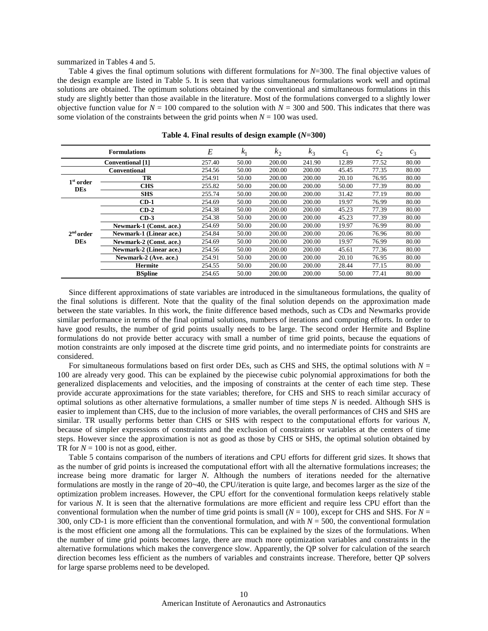summarized in Tables 4 and 5.

 Table 4 gives the final optimum solutions with different formulations for *N*=300. The final objective values of the design example are listed in Table 5. It is seen that various simultaneous formulations work well and optimal solutions are obtained. The optimum solutions obtained by the conventional and simultaneous formulations in this study are slightly better than those available in the literature. Most of the formulations converged to a slightly lower objective function value for  $N = 100$  compared to the solution with  $N = 300$  and 500. This indicates that there was some violation of the constraints between the grid points when  $N = 100$  was used.

|                                     | <b>Formulations</b>            | E      | $k_1$ | k <sub>2</sub> | $k_3$  | c <sub>1</sub> | $c_2$ | $c_3$ |
|-------------------------------------|--------------------------------|--------|-------|----------------|--------|----------------|-------|-------|
| <b>Conventional</b> [1]             |                                | 257.40 | 50.00 | 200.00         | 241.90 | 12.89          | 77.52 | 80.00 |
|                                     | <b>Conventional</b>            | 254.56 | 50.00 | 200.00         | 200.00 | 45.45          | 77.35 | 80.00 |
|                                     | TR                             | 254.91 | 50.00 | 200.00         | 200.00 | 20.10          | 76.95 | 80.00 |
| 1 <sup>st</sup> order<br><b>DEs</b> | <b>CHS</b>                     | 255.82 | 50.00 | 200.00         | 200.00 | 50.00          | 77.39 | 80.00 |
|                                     | <b>SHS</b>                     | 255.74 | 50.00 | 200.00         | 200.00 | 31.42          | 77.19 | 80.00 |
|                                     | $CD-1$                         | 254.69 | 50.00 | 200.00         | 200.00 | 19.97          | 76.99 | 80.00 |
|                                     | $CD-2$                         | 254.38 | 50.00 | 200.00         | 200.00 | 45.23          | 77.39 | 80.00 |
|                                     | $CD-3$                         | 254.38 | 50.00 | 200.00         | 200.00 | 45.23          | 77.39 | 80.00 |
|                                     | Newmark-1 (Const. ace.)        | 254.69 | 50.00 | 200.00         | 200.00 | 19.97          | 76.99 | 80.00 |
| $2nd$ order                         | <b>Newmark-1 (Linear ace.)</b> | 254.84 | 50.00 | 200.00         | 200.00 | 20.06          | 76.96 | 80.00 |
| <b>DEs</b>                          | Newmark-2 (Const. ace.)        | 254.69 | 50.00 | 200.00         | 200.00 | 19.97          | 76.99 | 80.00 |
|                                     | <b>Newmark-2 (Linear ace.)</b> | 254.56 | 50.00 | 200.00         | 200.00 | 45.61          | 77.36 | 80.00 |
|                                     | Newmark-2 (Ave. ace.)          | 254.91 | 50.00 | 200.00         | 200.00 | 20.10          | 76.95 | 80.00 |
|                                     | <b>Hermite</b>                 | 254.55 | 50.00 | 200.00         | 200.00 | 28.44          | 77.15 | 80.00 |
|                                     | <b>BSpline</b>                 | 254.65 | 50.00 | 200.00         | 200.00 | 50.00          | 77.41 | 80.00 |

**Table 4. Final results of design example (***N***=300)** 

 Since different approximations of state variables are introduced in the simultaneous formulations, the quality of the final solutions is different. Note that the quality of the final solution depends on the approximation made between the state variables. In this work, the finite difference based methods, such as CDs and Newmarks provide similar performance in terms of the final optimal solutions, numbers of iterations and computing efforts. In order to have good results, the number of grid points usually needs to be large. The second order Hermite and Bspline formulations do not provide better accuracy with small a number of time grid points, because the equations of motion constraints are only imposed at the discrete time grid points, and no intermediate points for constraints are considered.

 For simultaneous formulations based on first order DEs, such as CHS and SHS, the optimal solutions with *N* = 100 are already very good. This can be explained by the piecewise cubic polynomial approximations for both the generalized displacements and velocities, and the imposing of constraints at the center of each time step. These provide accurate approximations for the state variables; therefore, for CHS and SHS to reach similar accuracy of optimal solutions as other alternative formulations, a smaller number of time steps *N* is needed. Although SHS is easier to implement than CHS, due to the inclusion of more variables, the overall performances of CHS and SHS are similar. TR usually performs better than CHS or SHS with respect to the computational efforts for various *N*, because of simpler expressions of constraints and the exclusion of constraints or variables at the centers of time steps. However since the approximation is not as good as those by CHS or SHS, the optimal solution obtained by TR for  $N = 100$  is not as good, either.

 Table 5 contains comparison of the numbers of iterations and CPU efforts for different grid sizes. It shows that as the number of grid points is increased the computational effort with all the alternative formulations increases; the increase being more dramatic for larger *N*. Although the numbers of iterations needed for the alternative formulations are mostly in the range of 20~40, the CPU/iteration is quite large, and becomes larger as the size of the optimization problem increases. However, the CPU effort for the conventional formulation keeps relatively stable for various *N*. It is seen that the alternative formulations are more efficient and require less CPU effort than the conventional formulation when the number of time grid points is small ( $N = 100$ ), except for CHS and SHS. For  $N =$ 300, only CD-1 is more efficient than the conventional formulation, and with  $N = 500$ , the conventional formulation is the most efficient one among all the formulations. This can be explained by the sizes of the formulations. When the number of time grid points becomes large, there are much more optimization variables and constraints in the alternative formulations which makes the convergence slow. Apparently, the QP solver for calculation of the search direction becomes less efficient as the numbers of variables and constraints increase. Therefore, better QP solvers for large sparse problems need to be developed.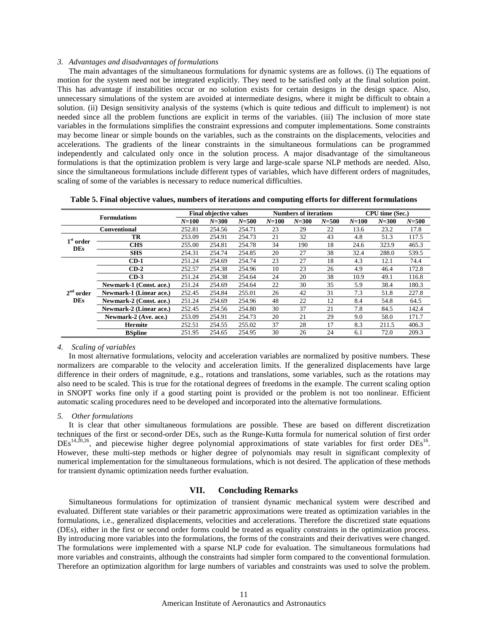## *3. Advantages and disadvantages of formulations*

 The main advantages of the simultaneous formulations for dynamic systems are as follows. (i) The equations of motion for the system need not be integrated explicitly. They need to be satisfied only at the final solution point. This has advantage if instabilities occur or no solution exists for certain designs in the design space. Also, unnecessary simulations of the system are avoided at intermediate designs, where it might be difficult to obtain a solution. (ii) Design sensitivity analysis of the systems (which is quite tedious and difficult to implement) is not needed since all the problem functions are explicit in terms of the variables. (iii) The inclusion of more state variables in the formulations simplifies the constraint expressions and computer implementations. Some constraints may become linear or simple bounds on the variables, such as the constraints on the displacements, velocities and accelerations. The gradients of the linear constraints in the simultaneous formulations can be programmed independently and calculated only once in the solution process. A major disadvantage of the simultaneous formulations is that the optimization problem is very large and large-scale sparse NLP methods are needed. Also, since the simultaneous formulations include different types of variables, which have different orders of magnitudes, scaling of some of the variables is necessary to reduce numerical difficulties.

|                     | <b>Formulations</b>            | <b>Final objective values</b> |           |           | <b>Numbers of iterations</b> |           |           | CPU time (Sec.) |           |           |
|---------------------|--------------------------------|-------------------------------|-----------|-----------|------------------------------|-----------|-----------|-----------------|-----------|-----------|
|                     |                                |                               | $N = 300$ | $N = 500$ | $N = 100$                    | $N = 300$ | $N = 500$ | $N = 100$       | $N = 300$ | $N = 500$ |
| <b>Conventional</b> |                                | 252.81                        | 254.56    | 254.71    | 23                           | 29        | 22        | 13.6            | 23.2      | 17.8      |
| $1st$ order         | TR                             | 253.09                        | 254.91    | 254.73    | 21                           | 32        | 43        | 4.8             | 51.3      | 117.5     |
| <b>DEs</b>          | <b>CHS</b>                     | 255.00                        | 254.81    | 254.78    | 34                           | 190       | 18        | 24.6            | 323.9     | 465.3     |
|                     | <b>SHS</b>                     | 254.31                        | 254.74    | 254.85    | 20                           | 27        | 38        | 32.4            | 288.0     | 539.5     |
|                     | $CD-1$                         | 251.24                        | 254.69    | 254.74    | 23                           | 27        | 18        | 4.3             | 12.1      | 74.4      |
|                     | $CD-2$                         | 252.57                        | 254.38    | 254.96    | 10                           | 23        | 26        | 4.9             | 46.4      | 172.8     |
|                     | $CD-3$                         | 251.24                        | 254.38    | 254.64    | 24                           | 20        | 38        | 10.9            | 49.1      | 116.8     |
|                     | Newmark-1 (Const. ace.)        | 251.24                        | 254.69    | 254.64    | 22                           | 30        | 35        | 5.9             | 38.4      | 180.3     |
| $2nd$ order         | <b>Newmark-1 (Linear ace.)</b> | 252.45                        | 254.84    | 255.01    | 26                           | 42        | 31        | 7.3             | 51.8      | 227.8     |
| <b>DEs</b>          | Newmark-2 (Const. ace.)        | 251.24                        | 254.69    | 254.96    | 48                           | 22        | 12        | 8.4             | 54.8      | 64.5      |
|                     | Newmark-2 (Linear ace.)        | 252.45                        | 254.56    | 254.80    | 30                           | 37        | 21        | 7.8             | 84.5      | 142.4     |
|                     | Newmark-2 (Ave. ace.)          | 253.09                        | 254.91    | 254.73    | 20                           | 21        | 29        | 9.0             | 58.0      | 171.7     |
|                     | <b>Hermite</b>                 | 252.51                        | 254.55    | 255.02    | 37                           | 28        | 17        | 8.3             | 211.5     | 406.3     |
|                     | <b>BSpline</b>                 | 251.95                        | 254.65    | 254.95    | 30                           | 26        | 24        | 6.1             | 72.0      | 209.3     |

**Table 5. Final objective values, numbers of iterations and computing efforts for different formulations** 

#### *4. Scaling of variables*

 In most alternative formulations, velocity and acceleration variables are normalized by positive numbers. These normalizers are comparable to the velocity and acceleration limits. If the generalized displacements have large difference in their orders of magnitude, e.g., rotations and translations, some variables, such as the rotations may also need to be scaled. This is true for the rotational degrees of freedoms in the example. The current scaling option in SNOPT works fine only if a good starting point is provided or the problem is not too nonlinear. Efficient automatic scaling procedures need to be developed and incorporated into the alternative formulations.

#### *5. Other formulations*

 It is clear that other simultaneous formulations are possible. These are based on different discretization techniques of the first or second-order DEs, such as the Runge-Kutta formula for numerical solution of first order  $\text{DEs}^{14,20,26}$ , and piecewise higher degree polynomial approximations of state variables for first order  $\text{DEs}^{16}$ . However, these multi-step methods or higher degree of polynomials may result in significant complexity of numerical implementation for the simultaneous formulations, which is not desired. The application of these methods for transient dynamic optimization needs further evaluation.

# **VII. Concluding Remarks**

 Simultaneous formulations for optimization of transient dynamic mechanical system were described and evaluated. Different state variables or their parametric approximations were treated as optimization variables in the formulations, i.e., generalized displacements, velocities and accelerations. Therefore the discretized state equations (DEs), either in the first or second order forms could be treated as equality constraints in the optimization process. By introducing more variables into the formulations, the forms of the constraints and their derivatives were changed. The formulations were implemented with a sparse NLP code for evaluation. The simultaneous formulations had more variables and constraints, although the constraints had simpler form compared to the conventional formulation. Therefore an optimization algorithm for large numbers of variables and constraints was used to solve the problem.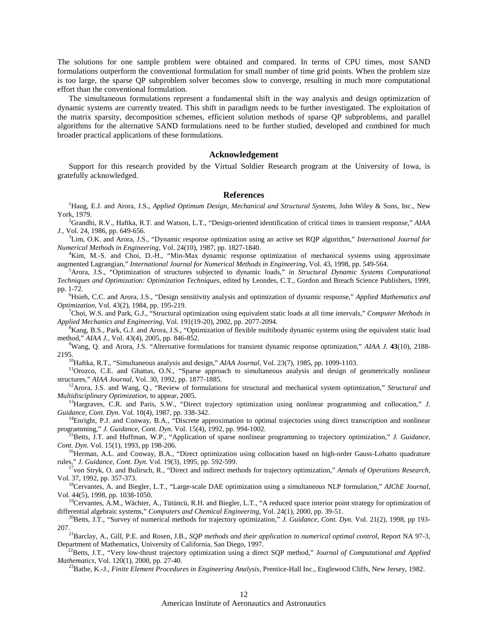The solutions for one sample problem were obtained and compared. In terms of CPU times, most SAND formulations outperform the conventional formulation for small number of time grid points. When the problem size is too large, the sparse QP subproblem solver becomes slow to converge, resulting in much more computational effort than the conventional formulation.

 The simultaneous formulations represent a fundamental shift in the way analysis and design optimization of dynamic systems are currently treated. This shift in paradigm needs to be further investigated. The exploitation of the matrix sparsity, decomposition schemes, efficient solution methods of sparse QP subproblems, and parallel algorithms for the alternative SAND formulations need to be further studied, developed and combined for much broader practical applications of these formulations.

#### **Acknowledgement**

 Support for this research provided by the Virtual Soldier Research program at the University of Iowa, is gratefully acknowledged.

#### **References**

<sup>1</sup>Haug, E.J. and Arora, J.S., *Applied Optimum Design, Mechanical and Structural Systems*, John Wiley & Sons, Inc., New York, 1979.

<sup>2</sup>Grandhi, R.V., Haftka, R.T. and Watson, L.T., "Design-oriented identification of critical times in transient response," *AIAA J.*, Vol. 24, 1986, pp. 649-656.

<sup>3</sup>Lim, O.K. and Arora, J.S., "Dynamic response optimization using an active set RQP algorithm," *International Journal for Numerical Methods in Engineering*, Vol. 24(10), 1987, pp. 1827-1840.

<sup>4</sup>Kim, M.-S. and Choi, D.-H., "Min-Max dynamic response optimization of mechanical systems using approximate augmented Lagrangian," *International Journal for Numerical Methods in Engineering*, Vol. 43, 1998, pp. 549-564.

<sup>5</sup>Arora, J.S., "Optimization of structures subjected to dynamic loads," in *Structural Dynamic Systems Computational Techniques and Optimization: Optimization Techniques*, edited by Leondes, C.T., Gordon and Breach Science Publishers, 1999, pp. 1-72.

<sup>6</sup>Hsieh, C.C. and Arora, J.S., "Design sensitivity analysis and optimization of dynamic response," *Applied Mathematics and Optimization*, Vol. 43(2), 1984, pp. 195-219.

<sup>7</sup>Choi, W.S. and Park, G.J., "Structural optimization using equivalent static loads at all time intervals," *Computer Methods in Applied Mechanics and Engineering*, Vol. 191(19-20), 2002, pp. 2077-2094.

<sup>8</sup>Kang, B.S., Park, G.J. and Arora, J.S., "Optimization of flexible multibody dynamic systems using the equivalent static load method," *AIAA J.*, Vol. 43(4), 2005, pp. 846-852.

<sup>9</sup>Wang, Q. and Arora, J.S. "Alternative formulations for transient dynamic response optimization," *AIAA J.* **43**(10), 2188- 2195.

<sup>10</sup>Haftka, R.T., "Simultaneous analysis and design," *AIAA Journal*, Vol. 23(7), 1985, pp. 1099-1103.

<sup>11</sup>Orozco, C.E. and Ghattas, O.N., "Sparse approach to simultaneous analysis and design of geometrically nonlinear structures," *AIAA Journal*, Vol. 30, 1992, pp. 1877-1885.

<sup>12</sup>Arora, J.S. and Wang, Q., "Review of formulations for structural and mechanical system optimization," *Structural and Multidisciplinary Optimization*, to appear, 2005.

<sup>13</sup>Hargraves, C.R. and Paris, S.W., "Direct trajectory optimization using nonlinear programming and collocation," *J. Guidance, Cont. Dyn.* Vol. 10(4), 1987, pp. 338-342.

<sup>14</sup>Enright, P.J. and Conway, B.A., "Discrete approximation to optimal trajectories using direct transcription and nonlinear programming," *J. Guidance, Cont. Dyn.* Vol. 15(4), 1992, pp. 994-1002.

<sup>15</sup>Betts, J.T. and Huffman, W.P., "Application of sparse nonlinear programming to trajectory optimization," *J. Guidance*, *Cont. Dyn.* Vol. 15(1), 1993, pp 198-206.

<sup>16</sup>Herman, A.L. and Conway, B.A., "Direct optimization using collocation based on high-order Gauss-Lobatto quadrature rules," *J. Guidance, Cont. Dyn.* Vol. 19(3), 1995, pp. 592-599.

<sup>17</sup>von Stryk, O. and Bulirsch, R., "Direct and indirect methods for trajectory optimization," *Annals of Operations Research*, Vol. 37, 1992, pp. 357-373.

<sup>18</sup>Cervantes, A. and Biegler, L.T., "Large-scale DAE optimization using a simultaneous NLP formulation," *AIChE Journal*, Vol. 44(5), 1998, pp. 1038-1050.

 $19$ Cervantes, A.M., Wächter, A., Tütüncü, R.H. and Biegler, L.T., "A reduced space interior point strategy for optimization of differential algebraic systems," *Computers and Chemical Engineering*, Vol. 24(1), 2000, pp. 39-51.

<sup>20</sup>Betts, J.T., "Survey of numerical methods for trajectory optimization," *J. Guidance, Cont. Dyn.* Vol. 21(2), 1998, pp 193- 207.

<sup>21</sup>Barclay, A., Gill, P.E. and Rosen, J.B., *SQP methods and their application to numerical optimal control*, Report NA 97-3, Department of Mathematics, University of California, San Diego, 1997.

<sup>22</sup>Betts, J.T., "Very low-thrust trajectory optimization using a direct SQP method," *Journal of Computational and Applied Mathematics*, Vol. 120(1), 2000, pp. 27-40.

<sup>23</sup>Bathe, K.-J., *Finite Element Procedures in Engineering Analysis*, Prentice-Hall Inc., Englewood Cliffs, New Jersey, 1982.